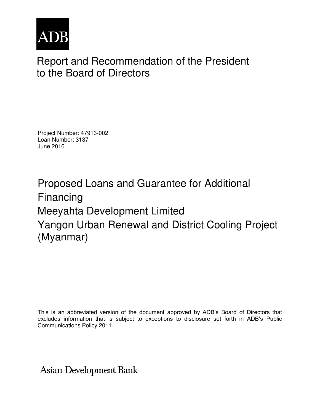

# Report and Recommendation of the President to the Board of Directors

Project Number: 47913-002 Loan Number: 3137 June 2016

Proposed Loans and Guarantee for Additional Financing Meeyahta Development Limited Yangon Urban Renewal and District Cooling Project (Myanmar)

This is an abbreviated version of the document approved by ADB's Board of Directors that excludes information that is subject to exceptions to disclosure set forth in ADB's Public Communications Policy 2011.

**Asian Development Bank**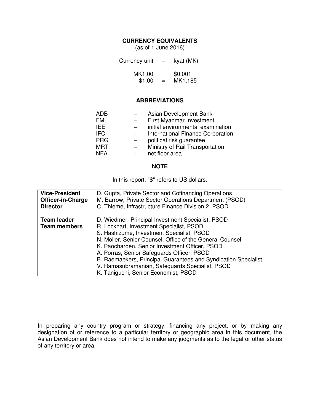#### **CURRENCY EQUIVALENTS**

(as of 1 June 2016)

| Currency unit | $\overline{\phantom{0}}$ | kyat (MK) |
|---------------|--------------------------|-----------|
| MK1.00        | $=$                      | \$0.001   |
| \$1.00        | $=$                      | MK1,185   |

### **ABBREVIATIONS**

| Asian Development Bank                   |
|------------------------------------------|
| First Myanmar Investment                 |
| initial environmental examination        |
| <b>International Finance Corporation</b> |
| political risk guarantee                 |
| Ministry of Rail Transportation          |
| net floor area                           |
|                                          |

#### **NOTE**

In this report, "\$" refers to US dollars.

| <b>Vice-President</b>                     | D. Gupta, Private Sector and Cofinancing Operations                                                                                                                                                                                                                                                                                                                                                                                                                 |
|-------------------------------------------|---------------------------------------------------------------------------------------------------------------------------------------------------------------------------------------------------------------------------------------------------------------------------------------------------------------------------------------------------------------------------------------------------------------------------------------------------------------------|
| <b>Officer-in-Charge</b>                  | M. Barrow, Private Sector Operations Department (PSOD)                                                                                                                                                                                                                                                                                                                                                                                                              |
| <b>Director</b>                           | C. Thieme, Infrastructure Finance Division 2, PSOD                                                                                                                                                                                                                                                                                                                                                                                                                  |
| <b>Team leader</b><br><b>Team members</b> | D. Wiedmer, Principal Investment Specialist, PSOD<br>R. Lockhart, Investment Specialist, PSOD<br>S. Hashizume, Investment Specialist, PSOD<br>N. Moller, Senior Counsel, Office of the General Counsel<br>K. Paocharoen, Senior Investment Officer, PSOD<br>A. Porras, Senior Safeguards Officer, PSOD<br>B. Raemaekers, Principal Guarantees and Syndication Specialist<br>V. Ramasubramanian, Safeguards Specialist, PSOD<br>K. Taniguchi, Senior Economist, PSOD |

In preparing any country program or strategy, financing any project, or by making any designation of or reference to a particular territory or geographic area in this document, the Asian Development Bank does not intend to make any judgments as to the legal or other status of any territory or area.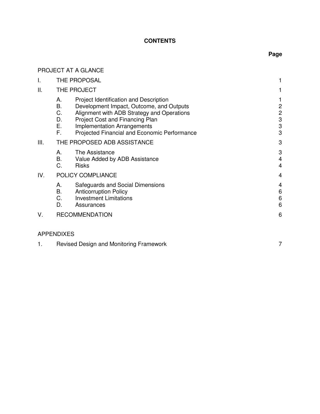# **CONTENTS**

# **Page**

|                   |                                  | PROJECT AT A GLANCE                                                                                                                                                                                                                                       |                                                             |
|-------------------|----------------------------------|-----------------------------------------------------------------------------------------------------------------------------------------------------------------------------------------------------------------------------------------------------------|-------------------------------------------------------------|
| I.                |                                  | THE PROPOSAL                                                                                                                                                                                                                                              | 1                                                           |
| Ш.                |                                  | THE PROJECT                                                                                                                                                                                                                                               | 1                                                           |
|                   | А.<br>В.<br>C.<br>D.<br>Ε.<br>F. | Project Identification and Description<br>Development Impact, Outcome, and Outputs<br>Alignment with ADB Strategy and Operations<br>Project Cost and Financing Plan<br><b>Implementation Arrangements</b><br>Projected Financial and Economic Performance | 1<br>$\overline{c}$<br>$\overline{c}$<br>$\frac{3}{3}$<br>3 |
| III.              |                                  | THE PROPOSED ADB ASSISTANCE                                                                                                                                                                                                                               | 3                                                           |
|                   | А.<br>В.<br>C.                   | The Assistance<br>Value Added by ADB Assistance<br><b>Risks</b>                                                                                                                                                                                           | 3<br>$\overline{4}$<br>$\overline{4}$                       |
| IV.               |                                  | POLICY COMPLIANCE                                                                                                                                                                                                                                         | 4                                                           |
|                   | А.<br>Β.<br>C.<br>D.             | Safeguards and Social Dimensions<br><b>Anticorruption Policy</b><br><b>Investment Limitations</b><br>Assurances                                                                                                                                           | 4<br>6<br>$\,6$<br>6                                        |
| V.                |                                  | <b>RECOMMENDATION</b>                                                                                                                                                                                                                                     | 6                                                           |
| <b>APPENDIXES</b> |                                  |                                                                                                                                                                                                                                                           |                                                             |
| 1.                |                                  | Revised Design and Monitoring Framework                                                                                                                                                                                                                   | 7                                                           |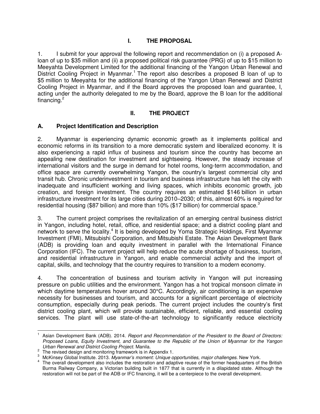# **I. THE PROPOSAL**

1. I submit for your approval the following report and recommendation on (i) a proposed Aloan of up to \$35 million and (ii) a proposed political risk guarantee (PRG) of up to \$15 million to Meeyahta Development Limited for the additional financing of the Yangon Urban Renewal and District Cooling Project in Myanmar.<sup>1</sup> The report also describes a proposed B loan of up to \$5 million to Meeyahta for the additional financing of the Yangon Urban Renewal and District Cooling Project in Myanmar, and if the Board approves the proposed loan and guarantee, I, acting under the authority delegated to me by the Board, approve the B loan for the additional financing. $2$ 

# **II. THE PROJECT**

# **A. Project Identification and Description**

2. Myanmar is experiencing dynamic economic growth as it implements political and economic reforms in its transition to a more democratic system and liberalized economy. It is also experiencing a rapid influx of business and tourism since the country has become an appealing new destination for investment and sightseeing. However, the steady increase of international visitors and the surge in demand for hotel rooms, long-term accommodation, and office space are currently overwhelming Yangon, the country's largest commercial city and transit hub. Chronic underinvestment in tourism and business infrastructure has left the city with inadequate and insufficient working and living spaces, which inhibits economic growth, job creation, and foreign investment. The country requires an estimated \$146 billion in urban infrastructure investment for its large cities during 2010–2030; of this, almost 60% is required for residential housing (\$87 billion) and more than 10% (\$17 billion) for commercial space.<sup>3</sup>

3. The current project comprises the revitalization of an emerging central business district in Yangon, including hotel, retail, office, and residential space; and a district cooling plant and network to serve the locality.<sup>4</sup> It is being developed by Yoma Strategic Holdings, First Myanmar Investment (FMI), Mitsubishi Corporation, and Mitsubishi Estate. The Asian Development Bank (ADB) is providing loan and equity investment in parallel with the International Finance Corporation (IFC). The current project will help reduce the acute shortage of business, tourism, and residential infrastructure in Yangon, and enable commercial activity and the import of capital, skills, and technology that the country requires to transition to a modern economy.

4. The concentration of business and tourism activity in Yangon will put increasing pressure on public utilities and the environment. Yangon has a hot tropical monsoon climate in which daytime temperatures hover around 30°C. Accordingly, air conditioning is an expensive necessity for businesses and tourism, and accounts for a significant percentage of electricity consumption, especially during peak periods. The current project includes the country's first district cooling plant, which will provide sustainable, efficient, reliable, and essential cooling services. The plant will use state-of-the-art technology to significantly reduce electricity

 1 Asian Development Bank (ADB). 2014. *Report and Recommendation of the President to the Board of Directors: Proposed Loans, Equity Investment, and Guarantee to the Republic of the Union of Myanmar for the Yangon Urban Renewal and District Cooling Project.* Manila.

 $2<sup>2</sup>$  The revised design and monitoring framework is in Appendix 1.

<sup>3</sup> McKinsey Global Institute. 2013. *Myanmar's moment: Unique opportunities, major challenges*. New York.

<sup>&</sup>lt;sup>4</sup> The overall development also includes the restoration and adaptive reuse of the former headquarters of the British Burma Railway Company, a Victorian building built in 1877 that is currently in a dilapidated state. Although the restoration will not be part of the ADB or IFC financing, it will be a centerpiece to the overall development.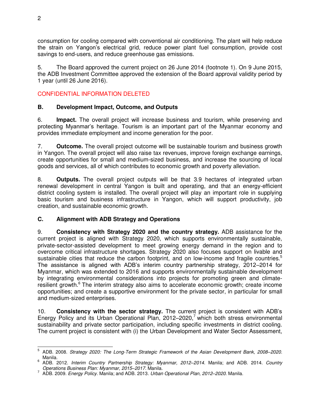consumption for cooling compared with conventional air conditioning. The plant will help reduce the strain on Yangon's electrical grid, reduce power plant fuel consumption, provide cost savings to end-users, and reduce greenhouse gas emissions.

5. The Board approved the current project on 26 June 2014 (footnote 1). On 9 June 2015, the ADB Investment Committee approved the extension of the Board approval validity period by 1 year (until 26 June 2016).

# CONFIDENTIAL INFORMATION DELETED

# **B. Development Impact, Outcome, and Outputs**

6. **Impact.** The overall project will increase business and tourism, while preserving and protecting Myanmar's heritage. Tourism is an important part of the Myanmar economy and provides immediate employment and income generation for the poor.

7. **Outcome.** The overall project outcome will be sustainable tourism and business growth in Yangon. The overall project will also raise tax revenues, improve foreign exchange earnings, create opportunities for small and medium-sized business, and increase the sourcing of local goods and services, all of which contributes to economic growth and poverty alleviation.

8. **Outputs.** The overall project outputs will be that 3.9 hectares of integrated urban renewal development in central Yangon is built and operating, and that an energy-efficient district cooling system is installed. The overall project will play an important role in supplying basic tourism and business infrastructure in Yangon, which will support productivity, job creation, and sustainable economic growth.

## **C. Alignment with ADB Strategy and Operations**

9. **Consistency with Strategy 2020 and the country strategy.** ADB assistance for the current project is aligned with Strategy 2020, which supports environmentally sustainable, private-sector-assisted development to meet growing energy demand in the region and to overcome critical infrastructure shortages. Strategy 2020 also focuses support on livable and sustainable cities that reduce the carbon footprint, and on low-income and fragile countries.<sup>5</sup> The assistance is aligned with ADB's interim country partnership strategy, 2012–2014 for Myanmar, which was extended to 2016 and supports environmentally sustainable development by integrating environmental considerations into projects for promoting green and climateresilient growth.<sup>6</sup> The interim strategy also aims to accelerate economic growth; create income opportunities; and create a supportive environment for the private sector, in particular for small and medium-sized enterprises.

10. **Consistency with the sector strategy.** The current project is consistent with ADB's Energy Policy and its Urban Operational Plan, 2012–2020,<sup>7</sup> which both stress environmental sustainability and private sector participation, including specific investments in district cooling. The current project is consistent with (i) the Urban Development and Water Sector Assessment,

<sup>—&</sup>lt;br>5 ADB. 2008. *Strategy 2020: The Long-Term Strategic Framework of the Asian Development Bank, 2008–2020.* Manila.

<sup>6</sup> ADB. 2012. *Interim Country Partnership Strategy: Myanmar, 2012–2014.* Manila; and ADB. 2014. *Country Operations Business Plan: Myanmar, 2015–2017*. Manila.

<sup>7</sup> ADB. 2009. *Energy Policy.* Manila; and ADB. 2013. *Urban Operational Plan, 2012–2020*. Manila.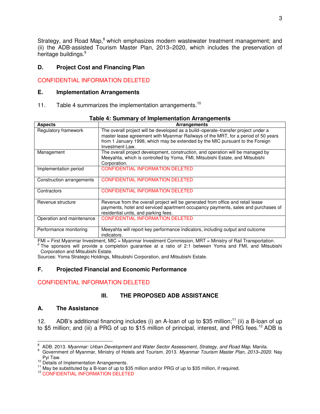Strategy, and Road Map,<sup>8</sup> which emphasizes modern wastewater treatment management; and (ii) the ADB-assisted Tourism Master Plan, 2013–2020, which includes the preservation of heritage buildings.<sup>9</sup>

## **D. Project Cost and Financing Plan**

# CONFIDENTIAL INFORMATION DELETED

### **E. Implementation Arrangements**

11. Table 4 summarizes the implementation arrangements.<sup>10</sup>

| <b>Aspects</b>            | <b>Arrangements</b>                                                                                                                                                                                                                                                        |  |  |
|---------------------------|----------------------------------------------------------------------------------------------------------------------------------------------------------------------------------------------------------------------------------------------------------------------------|--|--|
| Regulatory framework      | The overall project will be developed as a build–operate–transfer project under a<br>master lease agreement with Myanmar Railways of the MRT, for a period of 50 years<br>from 1 January 1998, which may be extended by the MIC pursuant to the Foreign<br>Investment Law. |  |  |
| Management                | The overall project development, construction, and operation will be managed by<br>Meeyahta, which is controlled by Yoma, FMI, Mitsubishi Estate, and Mitsubishi<br>Corporation.                                                                                           |  |  |
| Implementation period     | <b>CONFIDENTIAL INFORMATION DELETED</b>                                                                                                                                                                                                                                    |  |  |
| Construction arrangements | <b>CONFIDENTIAL INFORMATION DELETED</b>                                                                                                                                                                                                                                    |  |  |
| Contractors               | <b>CONFIDENTIAL INFORMATION DELETED</b>                                                                                                                                                                                                                                    |  |  |
| Revenue structure         | Revenue from the overall project will be generated from office and retail lease<br>payments, hotel and serviced apartment occupancy payments, sales and purchases of<br>residential units, and parking fees.                                                               |  |  |
| Operation and maintenance | <b>CONFIDENTIAL INFORMATION DELETED</b>                                                                                                                                                                                                                                    |  |  |
| Performance monitoring    | Meeyahta will report key performance indicators, including output and outcome<br>indicators.                                                                                                                                                                               |  |  |

| Table 4: Summary of Implementation Arrangements |  |  |
|-------------------------------------------------|--|--|
|-------------------------------------------------|--|--|

FMI = First Myanmar Investment, MIC = Myanmar Investment Commission, MRT = Ministry of Rail Transportation. <sup>a</sup> The sponsors will provide a completion guarantee at a ratio of 2:1 between Yoma and FMI, and Mitsubishi Corporation and Mitsubishi Estate.

Sources: Yoma Strategic Holdings, Mitsubishi Corporation, and Mitsubishi Estate.

## **F. Projected Financial and Economic Performance**

# CONFIDENTIAL INFORMATION DELETED

# **III. THE PROPOSED ADB ASSISTANCE**

# **A. The Assistance**

12. ADB's additional financing includes (i) an A-loan of up to \$35 million;<sup>11</sup> (ii) a B-loan of up to \$5 million; and (iii) a PRG of up to \$15 million of principal, interest, and PRG fees.<sup>12</sup> ADB is

<sup>-&</sup>lt;br>8 ADB. 2013. *Myanmar: Urban Development and Water Sector Assessment, Strategy, and Road Map.* Manila.

<sup>9</sup> Government of Myanmar, Ministry of Hotels and Tourism. 2013. *Myanmar Tourism Master Plan, 2013–2020*. Nay Pyi Taw.

<sup>&</sup>lt;sup>10</sup> Details of Implementation Arrangements.

 $11$  May be substituted by a B-loan of up to \$35 million and/or PRG of up to \$35 million, if required.

<sup>&</sup>lt;sup>12</sup> CONFIDENTIAL INFORMATION DELETED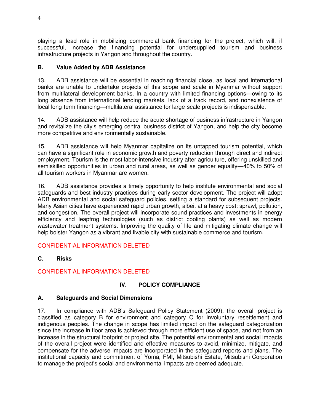playing a lead role in mobilizing commercial bank financing for the project, which will, if successful, increase the financing potential for undersupplied tourism and business infrastructure projects in Yangon and throughout the country.

# **B. Value Added by ADB Assistance**

13. ADB assistance will be essential in reaching financial close, as local and international banks are unable to undertake projects of this scope and scale in Myanmar without support from multilateral development banks. In a country with limited financing options—owing to its long absence from international lending markets, lack of a track record, and nonexistence of local long-term financing—multilateral assistance for large-scale projects is indispensable.

14. ADB assistance will help reduce the acute shortage of business infrastructure in Yangon and revitalize the city's emerging central business district of Yangon, and help the city become more competitive and environmentally sustainable.

15. ADB assistance will help Myanmar capitalize on its untapped tourism potential, which can have a significant role in economic growth and poverty reduction through direct and indirect employment. Tourism is the most labor-intensive industry after agriculture, offering unskilled and semiskilled opportunities in urban and rural areas, as well as gender equality—40% to 50% of all tourism workers in Myanmar are women.

16. ADB assistance provides a timely opportunity to help institute environmental and social safeguards and best industry practices during early sector development. The project will adopt ADB environmental and social safeguard policies, setting a standard for subsequent projects. Many Asian cities have experienced rapid urban growth, albeit at a heavy cost: sprawl, pollution, and congestion. The overall project will incorporate sound practices and investments in energy efficiency and leapfrog technologies (such as district cooling plants) as well as modern wastewater treatment systems. Improving the quality of life and mitigating climate change will help bolster Yangon as a vibrant and livable city with sustainable commerce and tourism.

# CONFIDENTIAL INFORMATION DELETED

# **C. Risks**

# CONFIDENTIAL INFORMATION DELETED

# **IV. POLICY COMPLIANCE**

# **A. Safeguards and Social Dimensions**

17. In compliance with ADB's Safeguard Policy Statement (2009), the overall project is classified as category B for environment and category C for involuntary resettlement and indigenous peoples. The change in scope has limited impact on the safeguard categorization since the increase in floor area is achieved through more efficient use of space, and not from an increase in the structural footprint or project site. The potential environmental and social impacts of the overall project were identified and effective measures to avoid, minimize, mitigate, and compensate for the adverse impacts are incorporated in the safeguard reports and plans. The institutional capacity and commitment of Yoma, FMI, Mitsubishi Estate, Mitsubishi Corporation to manage the project's social and environmental impacts are deemed adequate.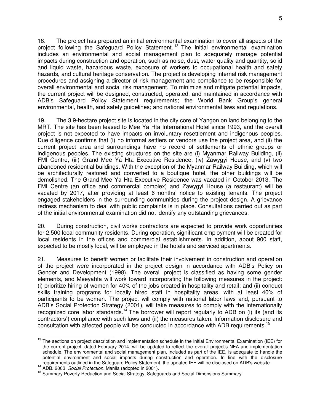18. The project has prepared an initial environmental examination to cover all aspects of the project following the Safeguard Policy Statement.<sup>13</sup> The initial environmental examination includes an environmental and social management plan to adequately manage potential impacts during construction and operation, such as noise, dust, water quality and quantity, solid and liquid waste, hazardous waste, exposure of workers to occupational health and safety hazards, and cultural heritage conservation. The project is developing internal risk management procedures and assigning a director of risk management and compliance to be responsible for overall environmental and social risk management. To minimize and mitigate potential impacts, the current project will be designed, constructed, operated, and maintained in accordance with ADB's Safeguard Policy Statement requirements; the World Bank Group's general environmental, health, and safety guidelines; and national environmental laws and regulations.

19. The 3.9-hectare project site is located in the city core of Yangon on land belonging to the MRT. The site has been leased to Mee Ya Hta International Hotel since 1993, and the overall project is not expected to have impacts on involuntary resettlement and indigenous peoples. Due diligence confirms that (i) no informal settlers or vendors use the project area, and (ii) the current project area and surroundings have no record of settlements of ethnic groups or indigenous peoples. The existing structures on the site are (i) Myanmar Railway Building, (ii) FMI Centre, (iii) Grand Mee Ya Hta Executive Residence, (iv) Zawygyi House, and (v) two abandoned residential buildings. With the exception of the Myanmar Railway Building, which will be architecturally restored and converted to a boutique hotel, the other buildings will be demolished. The Grand Mee Ya Hta Executive Residence was vacated in October 2013. The FMI Centre (an office and commercial complex) and Zawygyi House (a restaurant) will be vacated by 2017, after providing at least 6 months' notice to existing tenants. The project engaged stakeholders in the surrounding communities during the project design. A grievance redress mechanism to deal with public complaints is in place. Consultations carried out as part of the initial environmental examination did not identify any outstanding grievances.

20. During construction, civil works contractors are expected to provide work opportunities for 2,500 local community residents. During operation, significant employment will be created for local residents in the offices and commercial establishments. In addition, about 900 staff, expected to be mostly local, will be employed in the hotels and serviced apartments.

21. Measures to benefit women or facilitate their involvement in construction and operation of the project were incorporated in the project design in accordance with ADB's Policy on Gender and Development (1998). The overall project is classified as having some gender elements, and Meeyahta will work toward incorporating the following measures in the project: (i) prioritize hiring of women for 40% of the jobs created in hospitality and retail; and (ii) conduct skills training programs for locally hired staff in hospitality areas, with at least 40% of participants to be women. The project will comply with national labor laws and, pursuant to ADB's Social Protection Strategy (2001), will take measures to comply with the internationally recognized core labor standards.<sup>14</sup> The borrower will report regularly to ADB on (i) its (and its contractors') compliance with such laws and (ii) the measures taken. Information disclosure and consultation with affected people will be conducted in accordance with ADB requirements.<sup>15</sup>

 $\overline{a}$ 

<sup>&</sup>lt;sup>13</sup> The sections on project description and implementation schedule in the Initial Environmental Examination (IEE) for the current project, dated February 2014, will be updated to reflect the overall project's NFA and implementation schedule. The environmental and social management plan, included as part of the IEE, is adequate to handle the potential environment and social impacts during construction and operation. In line with the disclosure requirements outlined in the Safeguard Policy Statement, the updated IEE will be disclosed on ADB's website.

<sup>14</sup> ADB. 2003. *Social Protection.* Manila (adopted in 2001).

<sup>&</sup>lt;sup>15</sup> Summary Poverty Reduction and Social Strategy; Safeguards and Social Dimensions Summary.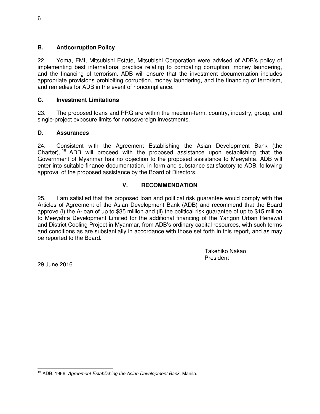# **B. Anticorruption Policy**

22. Yoma, FMI, Mitsubishi Estate, Mitsubishi Corporation were advised of ADB's policy of implementing best international practice relating to combating corruption, money laundering, and the financing of terrorism. ADB will ensure that the investment documentation includes appropriate provisions prohibiting corruption, money laundering, and the financing of terrorism, and remedies for ADB in the event of noncompliance.

# **C. Investment Limitations**

23. The proposed loans and PRG are within the medium-term, country, industry, group, and single-project exposure limits for nonsovereign investments.

# **D. Assurances**

24. Consistent with the Agreement Establishing the Asian Development Bank (the Charter), <sup>16</sup> ADB will proceed with the proposed assistance upon establishing that the Government of Myanmar has no objection to the proposed assistance to Meeyahta. ADB will enter into suitable finance documentation, in form and substance satisfactory to ADB, following approval of the proposed assistance by the Board of Directors.

# **V. RECOMMENDATION**

25. I am satisfied that the proposed loan and political risk guarantee would comply with the Articles of Agreement of the Asian Development Bank (ADB) and recommend that the Board approve (i) the A-loan of up to \$35 million and (ii) the political risk guarantee of up to \$15 million to Meeyahta Development Limited for the additional financing of the Yangon Urban Renewal and District Cooling Project in Myanmar, from ADB's ordinary capital resources, with such terms and conditions as are substantially in accordance with those set forth in this report, and as may be reported to the Board.

> Takehiko Nakao President

29 June 2016

 $\overline{a}$ <sup>16</sup> ADB. 1966. *Agreement Establishing the Asian Development Bank.* Manila.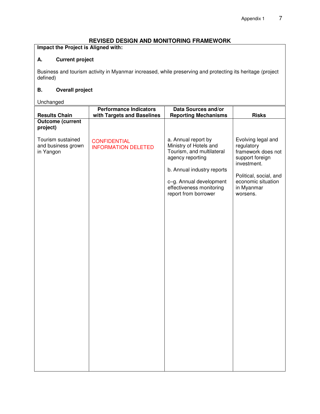## **REVISED DESIGN AND MONITORING FRAMEWORK**

**Impact the Project is Aligned with:** 

# **A. Current project**

Business and tourism activity in Myanmar increased, while preserving and protecting its heritage (project defined)

# **B. Overall project**

Unchanged

|                                                      | <b>Performance Indicators</b>                     | <b>Data Sources and/or</b>                                                                                                                                                                                  |                                                                                                                                                                    |
|------------------------------------------------------|---------------------------------------------------|-------------------------------------------------------------------------------------------------------------------------------------------------------------------------------------------------------------|--------------------------------------------------------------------------------------------------------------------------------------------------------------------|
| <b>Results Chain</b>                                 | with Targets and Baselines                        | <b>Reporting Mechanisms</b>                                                                                                                                                                                 | <b>Risks</b>                                                                                                                                                       |
| <b>Outcome (current</b><br>project)                  |                                                   |                                                                                                                                                                                                             |                                                                                                                                                                    |
| Tourism sustained<br>and business grown<br>in Yangon | <b>CONFIDENTIAL</b><br><b>INFORMATION DELETED</b> | a. Annual report by<br>Ministry of Hotels and<br>Tourism, and multilateral<br>agency reporting<br>b. Annual industry reports<br>c-g. Annual development<br>effectiveness monitoring<br>report from borrower | Evolving legal and<br>regulatory<br>framework does not<br>support foreign<br>investment.<br>Political, social, and<br>economic situation<br>in Myanmar<br>worsens. |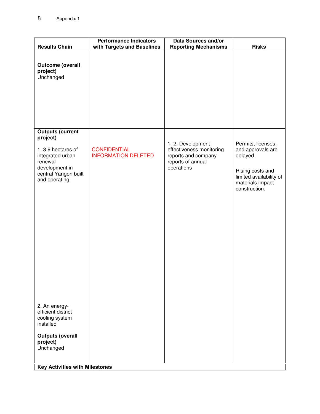| <b>Results Chain</b>                                                                                                                                                | <b>Performance Indicators</b><br>with Targets and Baselines | <b>Data Sources and/or</b><br><b>Reporting Mechanisms</b>                                              | <b>Risks</b>                                                                                                                            |
|---------------------------------------------------------------------------------------------------------------------------------------------------------------------|-------------------------------------------------------------|--------------------------------------------------------------------------------------------------------|-----------------------------------------------------------------------------------------------------------------------------------------|
| <b>Outcome (overall</b><br>project)<br>Unchanged                                                                                                                    |                                                             |                                                                                                        |                                                                                                                                         |
| <b>Outputs (current</b><br>project)<br>1.3.9 hectares of<br>integrated urban<br>renewal<br>development in<br>central Yangon built<br>and operating<br>2. An energy- | <b>CONFIDENTIAL</b><br><b>INFORMATION DELETED</b>           | 1-2. Development<br>effectiveness monitoring<br>reports and company<br>reports of annual<br>operations | Permits, licenses,<br>and approvals are<br>delayed.<br>Rising costs and<br>limited availability of<br>materials impact<br>construction. |
| efficient district<br>cooling system<br>installed                                                                                                                   |                                                             |                                                                                                        |                                                                                                                                         |
| <b>Outputs (overall</b><br>project)<br>Unchanged                                                                                                                    |                                                             |                                                                                                        |                                                                                                                                         |
| <b>Key Activities with Milestones</b>                                                                                                                               |                                                             |                                                                                                        |                                                                                                                                         |